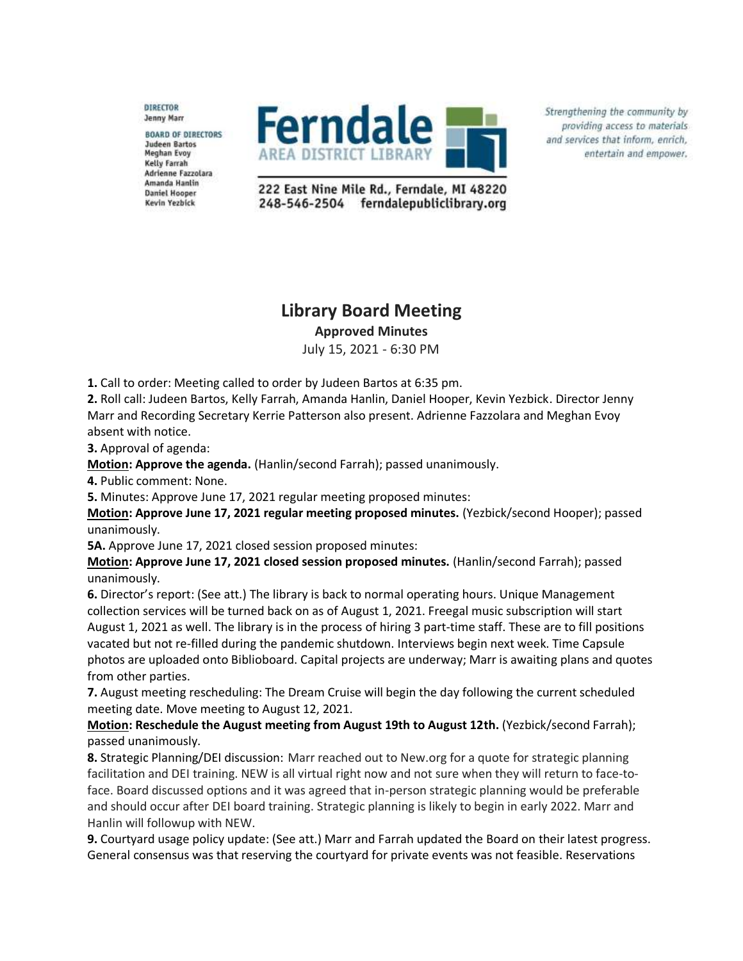**DIRECTOR** Jenny Marr

**BOARD OF DIRECTORS Judeen Bartos Meghan Evoy** Kelly Farrah Adrienne Fazzolara Amanda Hanlin **Daniel Hooper** Kevin Yezbick



Strengthening the community by providing access to materials and services that inform, enrich, entertain and empower.

222 East Nine Mile Rd., Ferndale, MI 48220 248-546-2504 ferndalepubliclibrary.org

## **Library Board Meeting**

**Approved Minutes**

July 15, 2021 - 6:30 PM

**1.** Call to order: Meeting called to order by Judeen Bartos at 6:35 pm.

**2.** Roll call: Judeen Bartos, Kelly Farrah, Amanda Hanlin, Daniel Hooper, Kevin Yezbick. Director Jenny Marr and Recording Secretary Kerrie Patterson also present. Adrienne Fazzolara and Meghan Evoy absent with notice.

**3.** Approval of agenda:

**Motion: Approve the agenda.** (Hanlin/second Farrah); passed unanimously.

**4.** Public comment: None.

**5.** Minutes: Approve June 17, 2021 regular meeting proposed minutes:

**Motion: Approve June 17, 2021 regular meeting proposed minutes.** (Yezbick/second Hooper); passed unanimously.

**5A.** Approve June 17, 2021 closed session proposed minutes:

**Motion: Approve June 17, 2021 closed session proposed minutes.** (Hanlin/second Farrah); passed unanimously.

**6.** Director's report: (See att.) The library is back to normal operating hours. Unique Management collection services will be turned back on as of August 1, 2021. Freegal music subscription will start August 1, 2021 as well. The library is in the process of hiring 3 part-time staff. These are to fill positions vacated but not re-filled during the pandemic shutdown. Interviews begin next week. Time Capsule photos are uploaded onto Biblioboard. Capital projects are underway; Marr is awaiting plans and quotes from other parties.

**7.** August meeting rescheduling: The Dream Cruise will begin the day following the current scheduled meeting date. Move meeting to August 12, 2021.

**Motion: Reschedule the August meeting from August 19th to August 12th.** (Yezbick/second Farrah); passed unanimously.

**8.** Strategic Planning/DEI discussion: Marr reached out to New.org for a quote for strategic planning facilitation and DEI training. NEW is all virtual right now and not sure when they will return to face-toface. Board discussed options and it was agreed that in-person strategic planning would be preferable and should occur after DEI board training. Strategic planning is likely to begin in early 2022. Marr and Hanlin will followup with NEW.

**9.** Courtyard usage policy update: (See att.) Marr and Farrah updated the Board on their latest progress. General consensus was that reserving the courtyard for private events was not feasible. Reservations